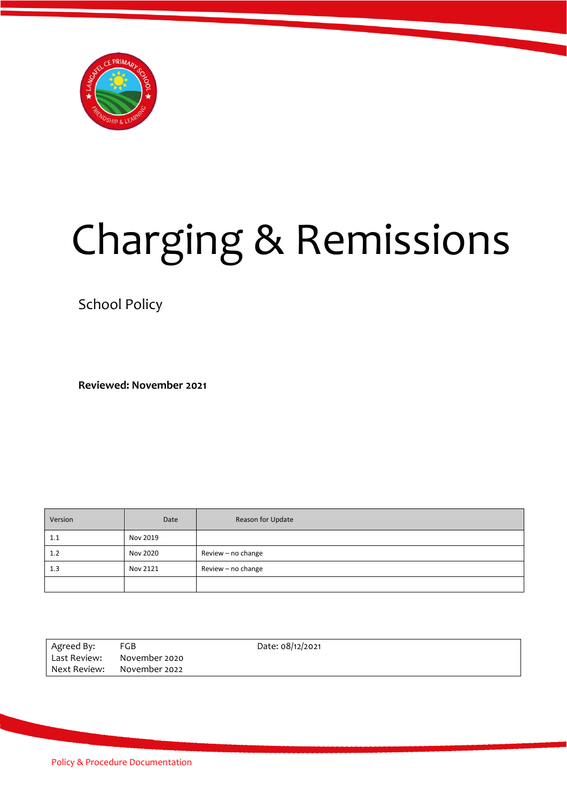

# Charging & Remissions

School Policy

**Reviewed: November 2021**

| Version | Date     | Reason for Update  |
|---------|----------|--------------------|
| 1.1     | Nov 2019 |                    |
| 1.2     | Nov 2020 | Review - no change |
| 1.3     | Nov 2121 | Review - no change |
|         |          |                    |

| Agreed By:   | FGB                        | Date: 08/12/2021 |
|--------------|----------------------------|------------------|
| Last Review: | November 2020              |                  |
|              | Next Review: November 2022 |                  |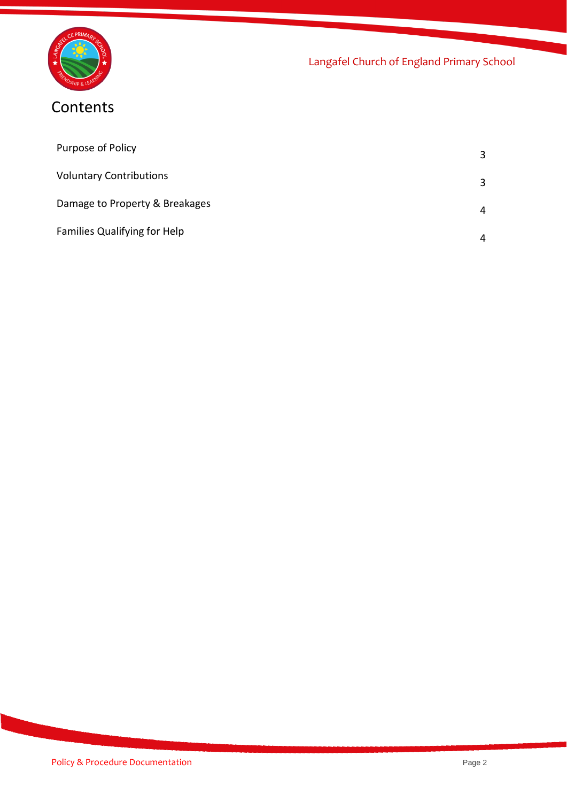

# **Contents**

| Purpose of Policy                   |   |
|-------------------------------------|---|
| <b>Voluntary Contributions</b>      | 3 |
| Damage to Property & Breakages      | 4 |
| <b>Families Qualifying for Help</b> | 4 |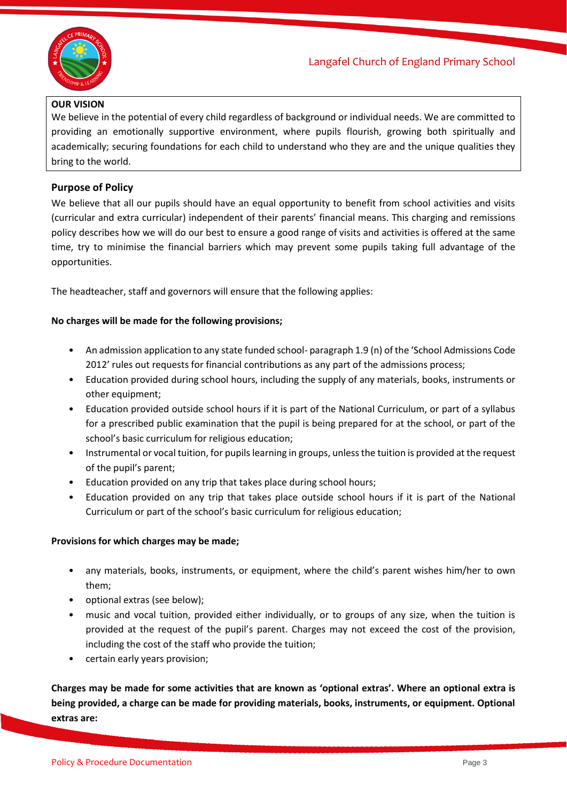

# **OUR VISION**

We believe in the potential of every child regardless of background or individual needs. We are committed to providing an emotionally supportive environment, where pupils flourish, growing both spiritually and academically; securing foundations for each child to understand who they are and the unique qualities they bring to the world.

# **Purpose of Policy**

We believe that all our pupils should have an equal opportunity to benefit from school activities and visits (curricular and extra curricular) independent of their parents' financial means. This charging and remissions policy describes how we will do our best to ensure a good range of visits and activities is offered at the same time, try to minimise the financial barriers which may prevent some pupils taking full advantage of the opportunities.

The headteacher, staff and governors will ensure that the following applies:

#### **No charges will be made for the following provisions;**

- An admission application to any state funded school-paragraph 1.9 (n) of the 'School Admissions Code 2012' rules out requests for financial contributions as any part of the admissions process;
- Education provided during school hours, including the supply of any materials, books, instruments or other equipment;
- Education provided outside school hours if it is part of the National Curriculum, or part of a syllabus for a prescribed public examination that the pupil is being prepared for at the school, or part of the school's basic curriculum for religious education;
- Instrumental or vocal tuition, for pupils learning in groups, unless the tuition is provided at the request of the pupil's parent;
- Education provided on any trip that takes place during school hours;
- Education provided on any trip that takes place outside school hours if it is part of the National Curriculum or part of the school's basic curriculum for religious education;

# **Provisions for which charges may be made;**

- any materials, books, instruments, or equipment, where the child's parent wishes him/her to own them;
- optional extras (see below);
- music and vocal tuition, provided either individually, or to groups of any size, when the tuition is provided at the request of the pupil's parent. Charges may not exceed the cost of the provision, including the cost of the staff who provide the tuition;
- certain early years provision;

**Charges may be made for some activities that are known as 'optional extras'. Where an optional extra is being provided, a charge can be made for providing materials, books, instruments, or equipment. Optional extras are:**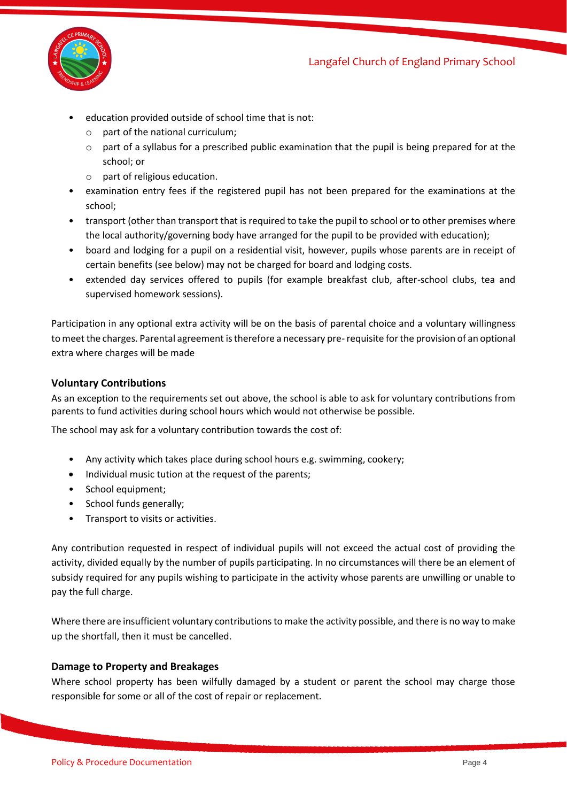



- education provided outside of school time that is not:
	- o part of the national curriculum;
	- $\circ$  part of a syllabus for a prescribed public examination that the pupil is being prepared for at the school; or
	- o part of religious education.
- examination entry fees if the registered pupil has not been prepared for the examinations at the school;
- transport (other than transport that is required to take the pupil to school or to other premises where the local authority/governing body have arranged for the pupil to be provided with education);
- board and lodging for a pupil on a residential visit, however, pupils whose parents are in receipt of certain benefits (see below) may not be charged for board and lodging costs.
- extended day services offered to pupils (for example breakfast club, after-school clubs, tea and supervised homework sessions).

Participation in any optional extra activity will be on the basis of parental choice and a voluntary willingness to meet the charges. Parental agreement is therefore a necessary pre-requisite for the provision of an optional extra where charges will be made

# **Voluntary Contributions**

As an exception to the requirements set out above, the school is able to ask for voluntary contributions from parents to fund activities during school hours which would not otherwise be possible.

The school may ask for a voluntary contribution towards the cost of:

- Any activity which takes place during school hours e.g. swimming, cookery;
- Individual music tution at the request of the parents;
- School equipment;
- School funds generally;
- Transport to visits or activities.

Any contribution requested in respect of individual pupils will not exceed the actual cost of providing the activity, divided equally by the number of pupils participating. In no circumstances will there be an element of subsidy required for any pupils wishing to participate in the activity whose parents are unwilling or unable to pay the full charge.

Where there are insufficient voluntary contributions to make the activity possible, and there is no way to make up the shortfall, then it must be cancelled.

# **Damage to Property and Breakages**

Where school property has been wilfully damaged by a student or parent the school may charge those responsible for some or all of the cost of repair or replacement.